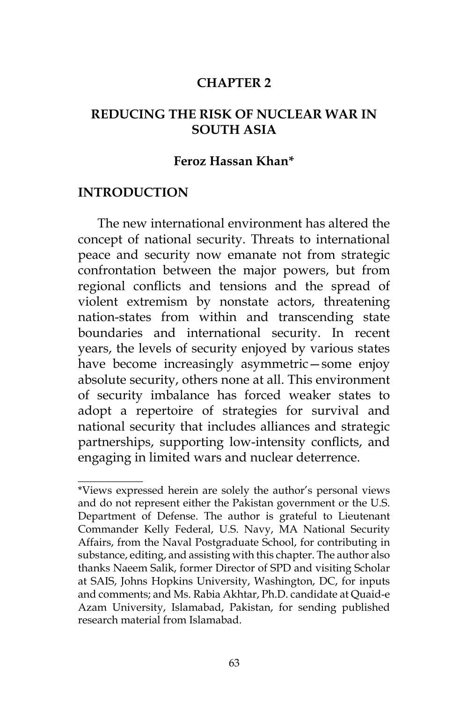#### **CHAPTER 2**

### **REDUCING THE RISK OF NUCLEAR WAR IN SOUTH ASIA**

#### **Feroz Hassan Khan\***

#### **INTRODUCTION**

\_\_\_\_\_\_\_\_\_\_\_\_

The new international environment has altered the concept of national security. Threats to international peace and security now emanate not from strategic confrontation between the major powers, but from regional conflicts and tensions and the spread of violent extremism by nonstate actors, threatening nation-states from within and transcending state boundaries and international security. In recent years, the levels of security enjoyed by various states have become increasingly asymmetric—some enjoy absolute security, others none at all. This environment of security imbalance has forced weaker states to adopt a repertoire of strategies for survival and national security that includes alliances and strategic partnerships, supporting low-intensity conflicts, and engaging in limited wars and nuclear deterrence.

<sup>\*</sup>Views expressed herein are solely the author's personal views and do not represent either the Pakistan government or the U.S. Department of Defense. The author is grateful to Lieutenant Commander Kelly Federal, U.S. Navy, MA National Security Affairs, from the Naval Postgraduate School, for contributing in substance, editing, and assisting with this chapter. The author also thanks Naeem Salik, former Director of SPD and visiting Scholar at SAIS, Johns Hopkins University, Washington, DC, for inputs and comments; and Ms. Rabia Akhtar, Ph.D. candidate at Quaid-e Azam University, Islamabad, Pakistan, for sending published research material from Islamabad.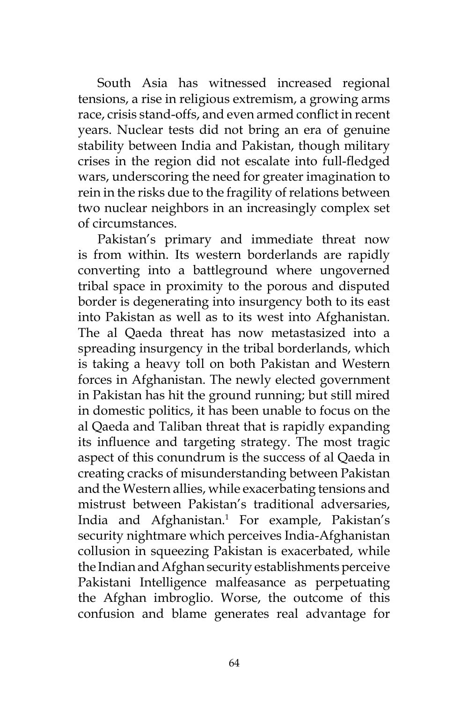South Asia has witnessed increased regional tensions, a rise in religious extremism, a growing arms race, crisis stand-offs, and even armed conflict in recent years. Nuclear tests did not bring an era of genuine stability between India and Pakistan, though military crises in the region did not escalate into full-fledged wars, underscoring the need for greater imagination to rein in the risks due to the fragility of relations between two nuclear neighbors in an increasingly complex set of circumstances.

Pakistan's primary and immediate threat now is from within. Its western borderlands are rapidly converting into a battleground where ungoverned tribal space in proximity to the porous and disputed border is degenerating into insurgency both to its east into Pakistan as well as to its west into Afghanistan. The al Qaeda threat has now metastasized into a spreading insurgency in the tribal borderlands, which is taking a heavy toll on both Pakistan and Western forces in Afghanistan. The newly elected government in Pakistan has hit the ground running; but still mired in domestic politics, it has been unable to focus on the al Qaeda and Taliban threat that is rapidly expanding its influence and targeting strategy. The most tragic aspect of this conundrum is the success of al Qaeda in creating cracks of misunderstanding between Pakistan and the Western allies, while exacerbating tensions and mistrust between Pakistan's traditional adversaries, India and Afghanistan.1 For example, Pakistan's security nightmare which perceives India-Afghanistan collusion in squeezing Pakistan is exacerbated, while the Indian and Afghan security establishments perceive Pakistani Intelligence malfeasance as perpetuating the Afghan imbroglio. Worse, the outcome of this confusion and blame generates real advantage for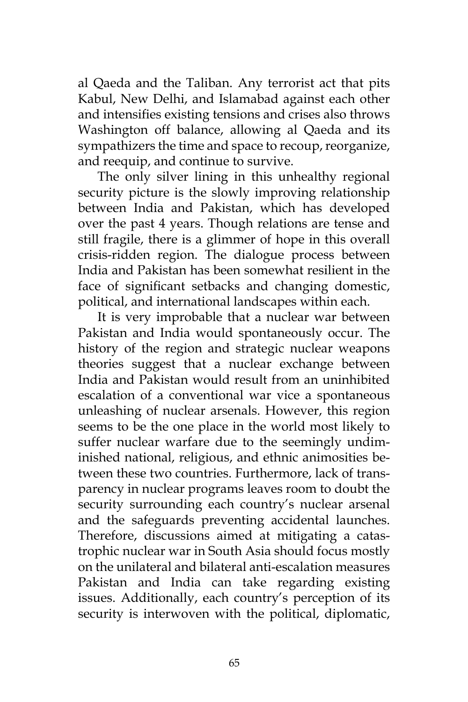al Qaeda and the Taliban. Any terrorist act that pits Kabul, New Delhi, and Islamabad against each other and intensifies existing tensions and crises also throws Washington off balance, allowing al Qaeda and its sympathizers the time and space to recoup, reorganize, and reequip, and continue to survive.

The only silver lining in this unhealthy regional security picture is the slowly improving relationship between India and Pakistan, which has developed over the past 4 years. Though relations are tense and still fragile, there is a glimmer of hope in this overall crisis-ridden region. The dialogue process between India and Pakistan has been somewhat resilient in the face of significant setbacks and changing domestic, political, and international landscapes within each.

It is very improbable that a nuclear war between Pakistan and India would spontaneously occur. The history of the region and strategic nuclear weapons theories suggest that a nuclear exchange between India and Pakistan would result from an uninhibited escalation of a conventional war vice a spontaneous unleashing of nuclear arsenals. However, this region seems to be the one place in the world most likely to suffer nuclear warfare due to the seemingly undiminished national, religious, and ethnic animosities between these two countries. Furthermore, lack of transparency in nuclear programs leaves room to doubt the security surrounding each country's nuclear arsenal and the safeguards preventing accidental launches. Therefore, discussions aimed at mitigating a catastrophic nuclear war in South Asia should focus mostly on the unilateral and bilateral anti-escalation measures Pakistan and India can take regarding existing issues. Additionally, each country's perception of its security is interwoven with the political, diplomatic,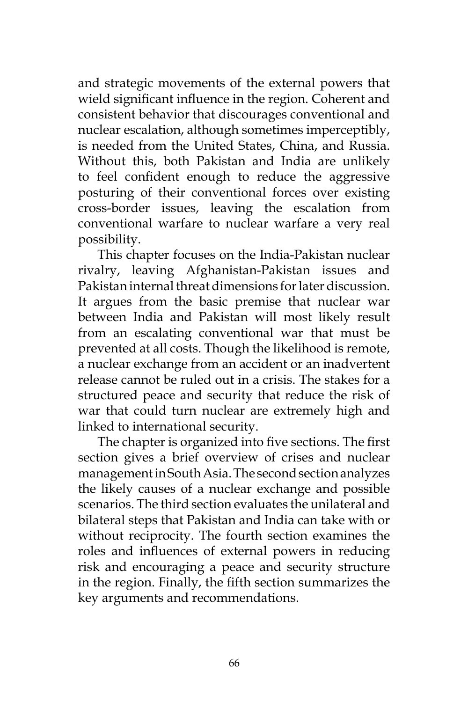and strategic movements of the external powers that wield significant influence in the region. Coherent and consistent behavior that discourages conventional and nuclear escalation, although sometimes imperceptibly, is needed from the United States, China, and Russia. Without this, both Pakistan and India are unlikely to feel confident enough to reduce the aggressive posturing of their conventional forces over existing cross-border issues, leaving the escalation from conventional warfare to nuclear warfare a very real possibility.

This chapter focuses on the India-Pakistan nuclear rivalry, leaving Afghanistan-Pakistan issues and Pakistan internal threat dimensions for later discussion. It argues from the basic premise that nuclear war between India and Pakistan will most likely result from an escalating conventional war that must be prevented at all costs. Though the likelihood is remote, a nuclear exchange from an accident or an inadvertent release cannot be ruled out in a crisis. The stakes for a structured peace and security that reduce the risk of war that could turn nuclear are extremely high and linked to international security.

The chapter is organized into five sections. The first section gives a brief overview of crises and nuclear management in South Asia. The second section analyzes the likely causes of a nuclear exchange and possible scenarios. The third section evaluates the unilateral and bilateral steps that Pakistan and India can take with or without reciprocity. The fourth section examines the roles and influences of external powers in reducing risk and encouraging a peace and security structure in the region. Finally, the fifth section summarizes the key arguments and recommendations.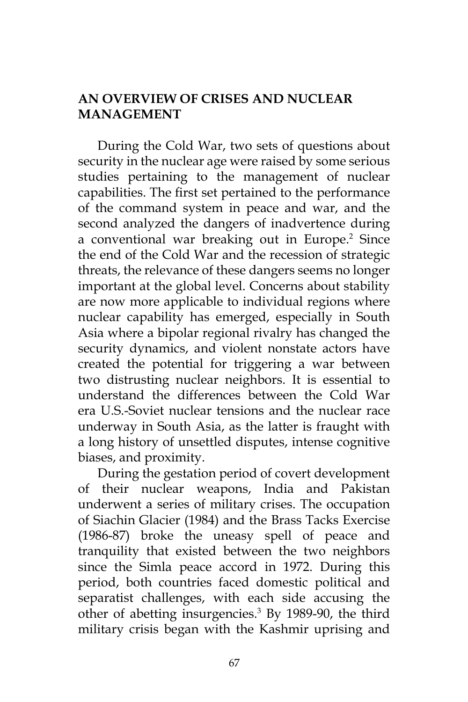# **AN OVERVIEW OF CRISES AND NUCLEAR MANAGEMENT**

During the Cold War, two sets of questions about security in the nuclear age were raised by some serious studies pertaining to the management of nuclear capabilities. The first set pertained to the performance of the command system in peace and war, and the second analyzed the dangers of inadvertence during a conventional war breaking out in Europe.<sup>2</sup> Since the end of the Cold War and the recession of strategic threats, the relevance of these dangers seems no longer important at the global level. Concerns about stability are now more applicable to individual regions where nuclear capability has emerged, especially in South Asia where a bipolar regional rivalry has changed the security dynamics, and violent nonstate actors have created the potential for triggering a war between two distrusting nuclear neighbors. It is essential to understand the differences between the Cold War era U.S.-Soviet nuclear tensions and the nuclear race underway in South Asia, as the latter is fraught with a long history of unsettled disputes, intense cognitive biases, and proximity.

During the gestation period of covert development of their nuclear weapons, India and Pakistan underwent a series of military crises. The occupation of Siachin Glacier (1984) and the Brass Tacks Exercise (1986-87) broke the uneasy spell of peace and tranquility that existed between the two neighbors since the Simla peace accord in 1972. During this period, both countries faced domestic political and separatist challenges, with each side accusing the other of abetting insurgencies.<sup>3</sup> By 1989-90, the third military crisis began with the Kashmir uprising and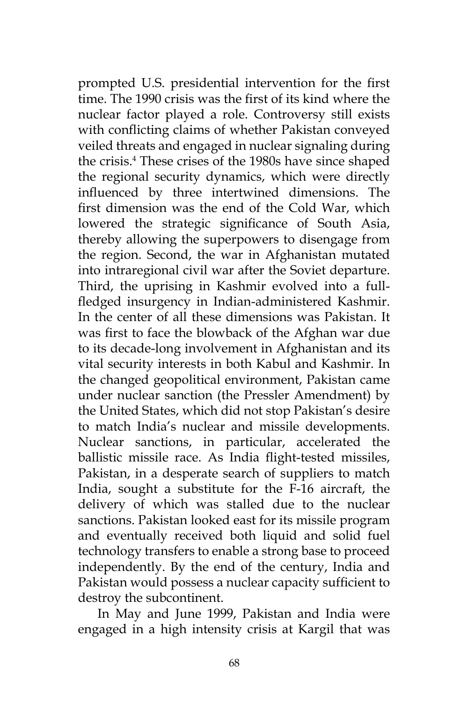prompted U.S. presidential intervention for the first time. The 1990 crisis was the first of its kind where the nuclear factor played a role. Controversy still exists with conflicting claims of whether Pakistan conveyed veiled threats and engaged in nuclear signaling during the crisis.4 These crises of the 1980s have since shaped the regional security dynamics, which were directly influenced by three intertwined dimensions. The first dimension was the end of the Cold War, which lowered the strategic significance of South Asia, thereby allowing the superpowers to disengage from the region. Second, the war in Afghanistan mutated into intraregional civil war after the Soviet departure. Third, the uprising in Kashmir evolved into a fullfledged insurgency in Indian-administered Kashmir. In the center of all these dimensions was Pakistan. It was first to face the blowback of the Afghan war due to its decade-long involvement in Afghanistan and its vital security interests in both Kabul and Kashmir. In the changed geopolitical environment, Pakistan came under nuclear sanction (the Pressler Amendment) by the United States, which did not stop Pakistan's desire to match India's nuclear and missile developments. Nuclear sanctions, in particular, accelerated the ballistic missile race. As India flight-tested missiles, Pakistan, in a desperate search of suppliers to match India, sought a substitute for the F-16 aircraft, the delivery of which was stalled due to the nuclear sanctions. Pakistan looked east for its missile program and eventually received both liquid and solid fuel technology transfers to enable a strong base to proceed independently. By the end of the century, India and Pakistan would possess a nuclear capacity sufficient to destroy the subcontinent.

In May and June 1999, Pakistan and India were engaged in a high intensity crisis at Kargil that was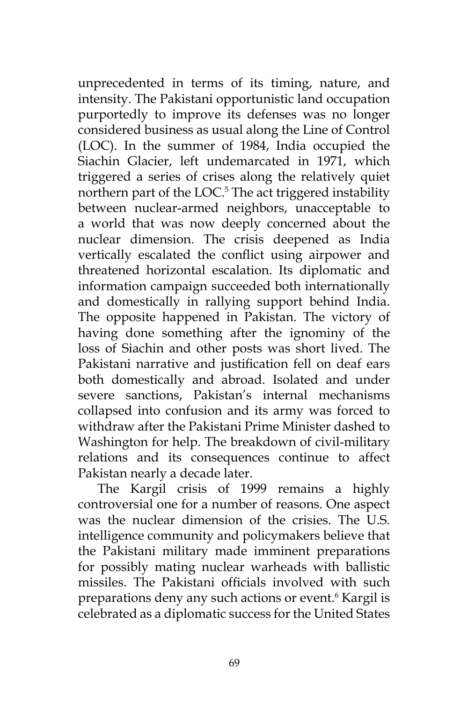unprecedented in terms of its timing, nature, and intensity. The Pakistani opportunistic land occupation purportedly to improve its defenses was no longer considered business as usual along the Line of Control (LOC). In the summer of 1984, India occupied the Siachin Glacier, left undemarcated in 1971, which triggered a series of crises along the relatively quiet northern part of the LOC.<sup>5</sup> The act triggered instability between nuclear-armed neighbors, unacceptable to a world that was now deeply concerned about the nuclear dimension. The crisis deepened as India vertically escalated the conflict using airpower and threatened horizontal escalation. Its diplomatic and information campaign succeeded both internationally and domestically in rallying support behind India. The opposite happened in Pakistan. The victory of having done something after the ignominy of the loss of Siachin and other posts was short lived. The Pakistani narrative and justification fell on deaf ears both domestically and abroad. Isolated and under severe sanctions, Pakistan's internal mechanisms collapsed into confusion and its army was forced to withdraw after the Pakistani Prime Minister dashed to Washington for help. The breakdown of civil-military relations and its consequences continue to affect Pakistan nearly a decade later.

The Kargil crisis of 1999 remains a highly controversial one for a number of reasons. One aspect was the nuclear dimension of the crisies. The U.S. intelligence community and policymakers believe that the Pakistani military made imminent preparations for possibly mating nuclear warheads with ballistic missiles. The Pakistani officials involved with such preparations deny any such actions or event.6 Kargil is celebrated as a diplomatic success for the United States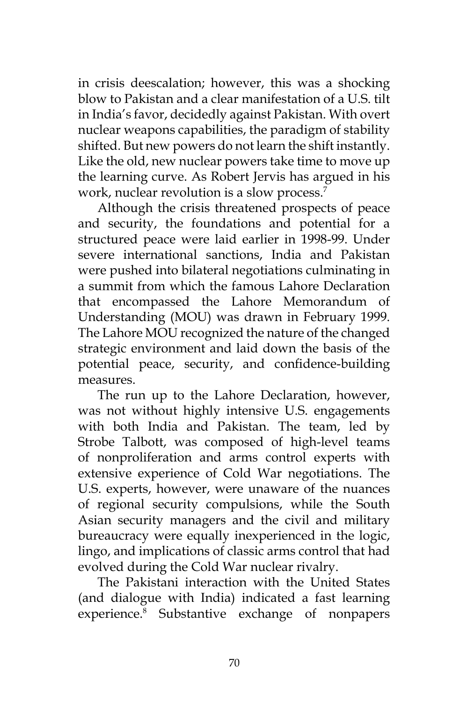in crisis deescalation; however, this was a shocking blow to Pakistan and a clear manifestation of a U.S. tilt in India's favor, decidedly against Pakistan. With overt nuclear weapons capabilities, the paradigm of stability shifted. But new powers do not learn the shift instantly. Like the old, new nuclear powers take time to move up the learning curve. As Robert Jervis has argued in his work, nuclear revolution is a slow process.<sup>7</sup>

Although the crisis threatened prospects of peace and security, the foundations and potential for a structured peace were laid earlier in 1998-99. Under severe international sanctions, India and Pakistan were pushed into bilateral negotiations culminating in a summit from which the famous Lahore Declaration that encompassed the Lahore Memorandum of Understanding (MOU) was drawn in February 1999. The Lahore MOU recognized the nature of the changed strategic environment and laid down the basis of the potential peace, security, and confidence-building measures.

The run up to the Lahore Declaration, however, was not without highly intensive U.S. engagements with both India and Pakistan. The team, led by Strobe Talbott, was composed of high-level teams of nonproliferation and arms control experts with extensive experience of Cold War negotiations. The U.S. experts, however, were unaware of the nuances of regional security compulsions, while the South Asian security managers and the civil and military bureaucracy were equally inexperienced in the logic, lingo, and implications of classic arms control that had evolved during the Cold War nuclear rivalry.

The Pakistani interaction with the United States (and dialogue with India) indicated a fast learning experience.<sup>8</sup> Substantive exchange of nonpapers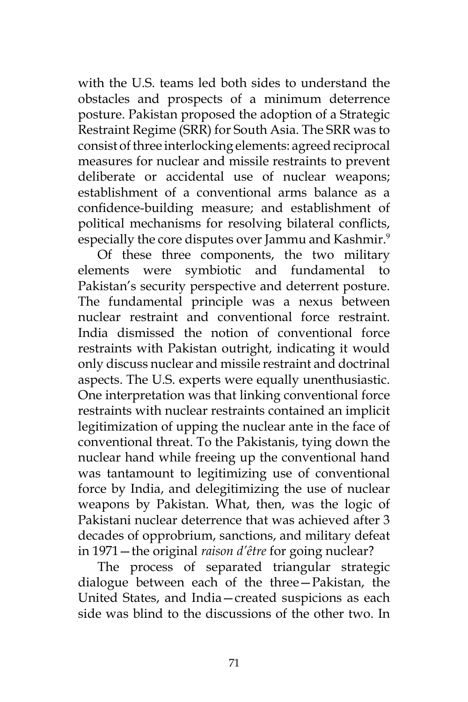with the U.S. teams led both sides to understand the obstacles and prospects of a minimum deterrence posture. Pakistan proposed the adoption of a Strategic Restraint Regime (SRR) for South Asia. The SRR was to consist of three interlocking elements: agreed reciprocal measures for nuclear and missile restraints to prevent deliberate or accidental use of nuclear weapons; establishment of a conventional arms balance as a confidence-building measure; and establishment of political mechanisms for resolving bilateral conflicts, especially the core disputes over Jammu and Kashmir.<sup>9</sup>

Of these three components, the two military elements were symbiotic and fundamental to Pakistan's security perspective and deterrent posture. The fundamental principle was a nexus between nuclear restraint and conventional force restraint. India dismissed the notion of conventional force restraints with Pakistan outright, indicating it would only discuss nuclear and missile restraint and doctrinal aspects. The U.S. experts were equally unenthusiastic. One interpretation was that linking conventional force restraints with nuclear restraints contained an implicit legitimization of upping the nuclear ante in the face of conventional threat. To the Pakistanis, tying down the nuclear hand while freeing up the conventional hand was tantamount to legitimizing use of conventional force by India, and delegitimizing the use of nuclear weapons by Pakistan. What, then, was the logic of Pakistani nuclear deterrence that was achieved after 3 decades of opprobrium, sanctions, and military defeat in 1971—the original *raison d'être* for going nuclear?

The process of separated triangular strategic dialogue between each of the three—Pakistan, the United States, and India—created suspicions as each side was blind to the discussions of the other two. In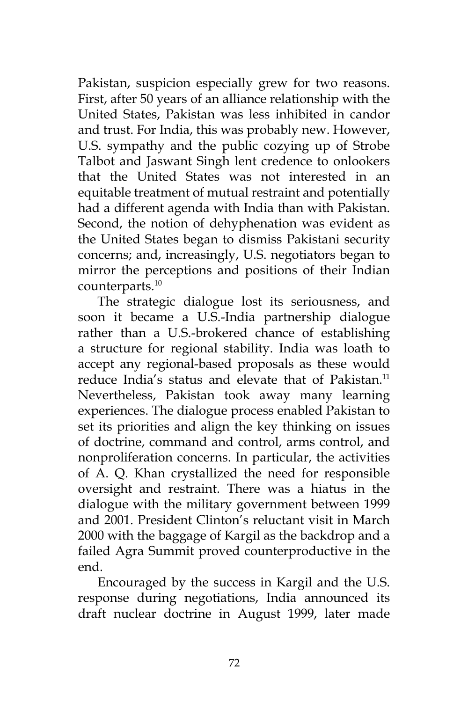Pakistan, suspicion especially grew for two reasons. First, after 50 years of an alliance relationship with the United States, Pakistan was less inhibited in candor and trust. For India, this was probably new. However, U.S. sympathy and the public cozying up of Strobe Talbot and Jaswant Singh lent credence to onlookers that the United States was not interested in an equitable treatment of mutual restraint and potentially had a different agenda with India than with Pakistan. Second, the notion of dehyphenation was evident as the United States began to dismiss Pakistani security concerns; and, increasingly, U.S. negotiators began to mirror the perceptions and positions of their Indian counterparts.10

The strategic dialogue lost its seriousness, and soon it became a U.S.-India partnership dialogue rather than a U.S.-brokered chance of establishing a structure for regional stability. India was loath to accept any regional-based proposals as these would reduce India's status and elevate that of Pakistan.<sup>11</sup> Nevertheless, Pakistan took away many learning experiences. The dialogue process enabled Pakistan to set its priorities and align the key thinking on issues of doctrine, command and control, arms control, and nonproliferation concerns. In particular, the activities of A. Q. Khan crystallized the need for responsible oversight and restraint. There was a hiatus in the dialogue with the military government between 1999 and 2001. President Clinton's reluctant visit in March 2000 with the baggage of Kargil as the backdrop and a failed Agra Summit proved counterproductive in the end.

Encouraged by the success in Kargil and the U.S. response during negotiations, India announced its draft nuclear doctrine in August 1999, later made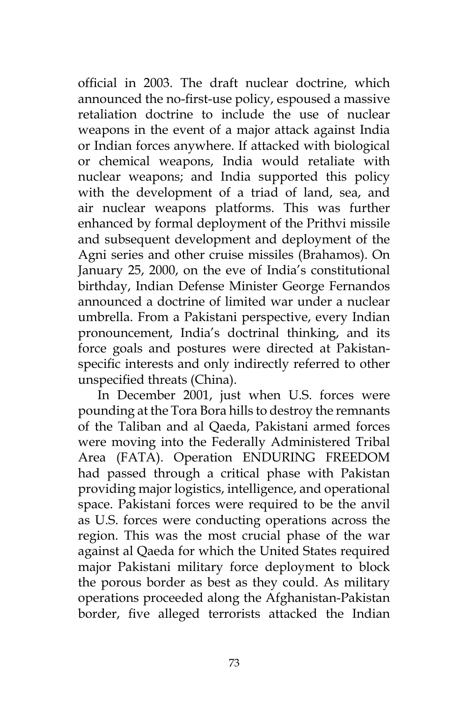official in 2003. The draft nuclear doctrine, which announced the no-first-use policy, espoused a massive retaliation doctrine to include the use of nuclear weapons in the event of a major attack against India or Indian forces anywhere. If attacked with biological or chemical weapons, India would retaliate with nuclear weapons; and India supported this policy with the development of a triad of land, sea, and air nuclear weapons platforms. This was further enhanced by formal deployment of the Prithvi missile and subsequent development and deployment of the Agni series and other cruise missiles (Brahamos). On January 25, 2000, on the eve of India's constitutional birthday, Indian Defense Minister George Fernandos announced a doctrine of limited war under a nuclear umbrella. From a Pakistani perspective, every Indian pronouncement, India's doctrinal thinking, and its force goals and postures were directed at Pakistanspecific interests and only indirectly referred to other unspecified threats (China).

In December 2001, just when U.S. forces were pounding at the Tora Bora hills to destroy the remnants of the Taliban and al Qaeda, Pakistani armed forces were moving into the Federally Administered Tribal Area (FATA). Operation ENDURING FREEDOM had passed through a critical phase with Pakistan providing major logistics, intelligence, and operational space. Pakistani forces were required to be the anvil as U.S. forces were conducting operations across the region. This was the most crucial phase of the war against al Qaeda for which the United States required major Pakistani military force deployment to block the porous border as best as they could. As military operations proceeded along the Afghanistan-Pakistan border, five alleged terrorists attacked the Indian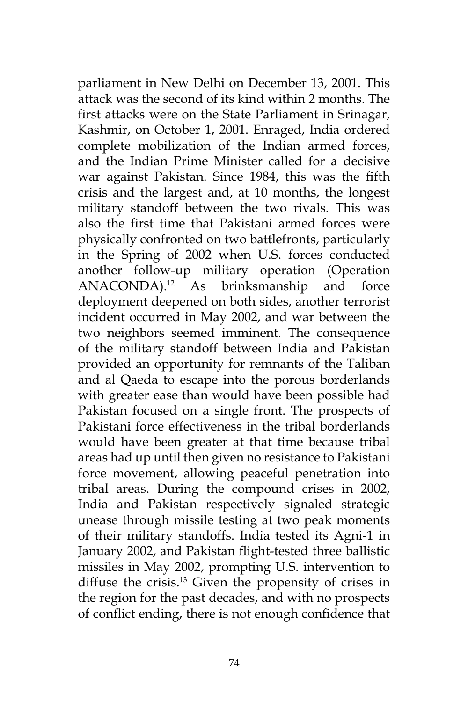parliament in New Delhi on December 13, 2001. This attack was the second of its kind within 2 months. The first attacks were on the State Parliament in Srinagar, Kashmir, on October 1, 2001. Enraged, India ordered complete mobilization of the Indian armed forces, and the Indian Prime Minister called for a decisive war against Pakistan. Since 1984, this was the fifth crisis and the largest and, at 10 months, the longest military standoff between the two rivals. This was also the first time that Pakistani armed forces were physically confronted on two battlefronts, particularly in the Spring of 2002 when U.S. forces conducted another follow-up military operation (Operation ANACONDA).12 As brinksmanship and force deployment deepened on both sides, another terrorist incident occurred in May 2002, and war between the two neighbors seemed imminent. The consequence of the military standoff between India and Pakistan provided an opportunity for remnants of the Taliban and al Qaeda to escape into the porous borderlands with greater ease than would have been possible had Pakistan focused on a single front. The prospects of Pakistani force effectiveness in the tribal borderlands would have been greater at that time because tribal areas had up until then given no resistance to Pakistani force movement, allowing peaceful penetration into tribal areas. During the compound crises in 2002, India and Pakistan respectively signaled strategic unease through missile testing at two peak moments of their military standoffs. India tested its Agni-1 in January 2002, and Pakistan flight-tested three ballistic missiles in May 2002, prompting U.S. intervention to diffuse the crisis.13 Given the propensity of crises in the region for the past decades, and with no prospects of conflict ending, there is not enough confidence that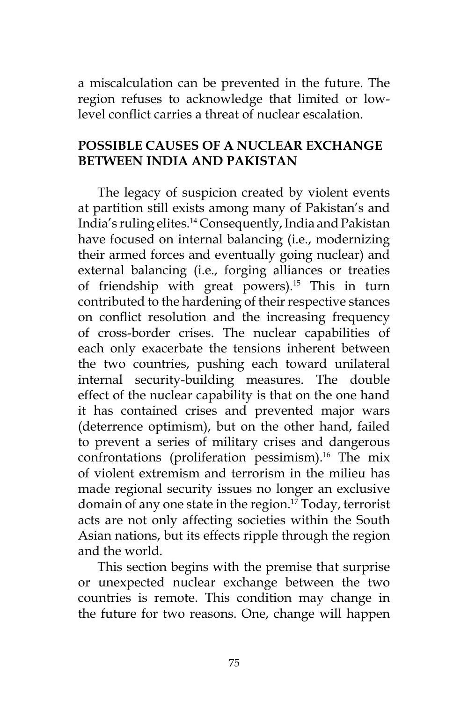a miscalculation can be prevented in the future. The region refuses to acknowledge that limited or lowlevel conflict carries a threat of nuclear escalation.

# **POSSIBLE CAUSES OF A NUCLEAR EXCHANGE BETWEEN INDIA AND PAKISTAN**

The legacy of suspicion created by violent events at partition still exists among many of Pakistan's and India's ruling elites.14 Consequently, India and Pakistan have focused on internal balancing (i.e., modernizing their armed forces and eventually going nuclear) and external balancing (i.e., forging alliances or treaties of friendship with great powers).15 This in turn contributed to the hardening of their respective stances on conflict resolution and the increasing frequency of cross-border crises. The nuclear capabilities of each only exacerbate the tensions inherent between the two countries, pushing each toward unilateral internal security-building measures. The double effect of the nuclear capability is that on the one hand it has contained crises and prevented major wars (deterrence optimism), but on the other hand, failed to prevent a series of military crises and dangerous confrontations (proliferation pessimism).<sup>16</sup> The mix of violent extremism and terrorism in the milieu has made regional security issues no longer an exclusive domain of any one state in the region.<sup>17</sup> Today, terrorist acts are not only affecting societies within the South Asian nations, but its effects ripple through the region and the world.

This section begins with the premise that surprise or unexpected nuclear exchange between the two countries is remote. This condition may change in the future for two reasons. One, change will happen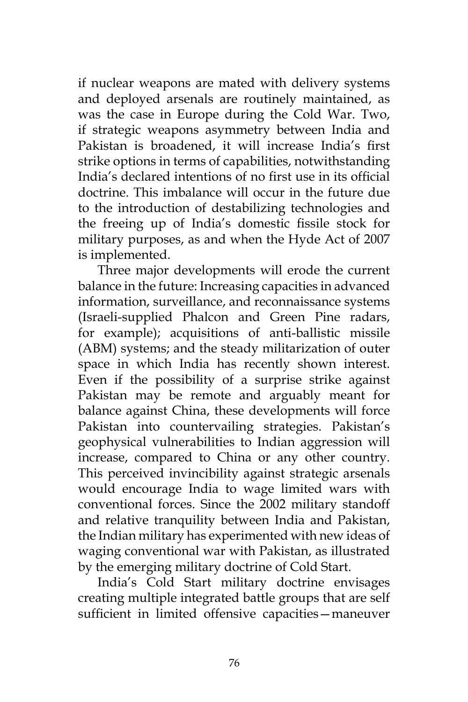if nuclear weapons are mated with delivery systems and deployed arsenals are routinely maintained, as was the case in Europe during the Cold War. Two, if strategic weapons asymmetry between India and Pakistan is broadened, it will increase India's first strike options in terms of capabilities, notwithstanding India's declared intentions of no first use in its official doctrine. This imbalance will occur in the future due to the introduction of destabilizing technologies and the freeing up of India's domestic fissile stock for military purposes, as and when the Hyde Act of 2007 is implemented.

Three major developments will erode the current balance in the future: Increasing capacities in advanced information, surveillance, and reconnaissance systems (Israeli-supplied Phalcon and Green Pine radars, for example); acquisitions of anti-ballistic missile (ABM) systems; and the steady militarization of outer space in which India has recently shown interest. Even if the possibility of a surprise strike against Pakistan may be remote and arguably meant for balance against China, these developments will force Pakistan into countervailing strategies. Pakistan's geophysical vulnerabilities to Indian aggression will increase, compared to China or any other country. This perceived invincibility against strategic arsenals would encourage India to wage limited wars with conventional forces. Since the 2002 military standoff and relative tranquility between India and Pakistan, the Indian military has experimented with new ideas of waging conventional war with Pakistan, as illustrated by the emerging military doctrine of Cold Start.

India's Cold Start military doctrine envisages creating multiple integrated battle groups that are self sufficient in limited offensive capacities—maneuver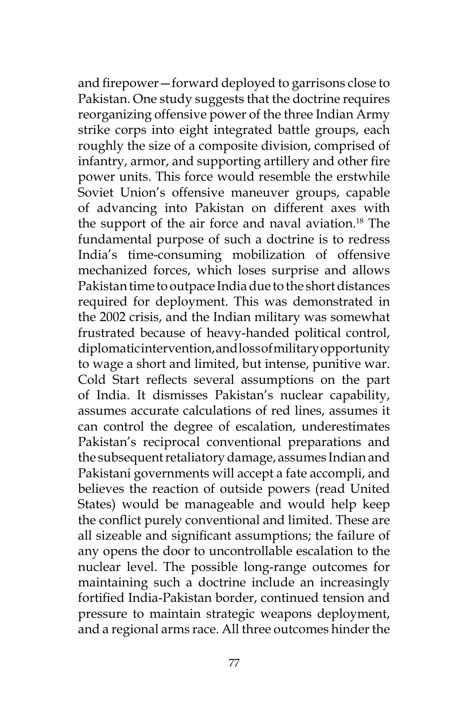and firepower—forward deployed to garrisons close to Pakistan. One study suggests that the doctrine requires reorganizing offensive power of the three Indian Army strike corps into eight integrated battle groups, each roughly the size of a composite division, comprised of infantry, armor, and supporting artillery and other fire power units. This force would resemble the erstwhile Soviet Union's offensive maneuver groups, capable of advancing into Pakistan on different axes with the support of the air force and naval aviation.<sup>18</sup> The fundamental purpose of such a doctrine is to redress India's time-consuming mobilization of offensive mechanized forces, which loses surprise and allows Pakistan time to outpace India due to the short distances required for deployment. This was demonstrated in the 2002 crisis, and the Indian military was somewhat frustrated because of heavy-handed political control, diplomatic intervention, and loss of military opportunity to wage a short and limited, but intense, punitive war. Cold Start reflects several assumptions on the part of India. It dismisses Pakistan's nuclear capability, assumes accurate calculations of red lines, assumes it can control the degree of escalation, underestimates Pakistan's reciprocal conventional preparations and the subsequent retaliatory damage, assumes Indian and Pakistani governments will accept a fate accompli, and believes the reaction of outside powers (read United States) would be manageable and would help keep the conflict purely conventional and limited. These are all sizeable and significant assumptions; the failure of any opens the door to uncontrollable escalation to the nuclear level. The possible long-range outcomes for maintaining such a doctrine include an increasingly fortified India-Pakistan border, continued tension and pressure to maintain strategic weapons deployment, and a regional arms race. All three outcomes hinder the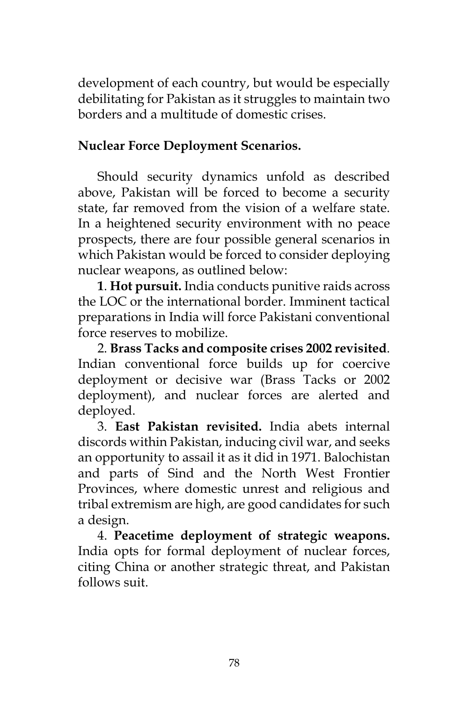development of each country, but would be especially debilitating for Pakistan as it struggles to maintain two borders and a multitude of domestic crises.

# **Nuclear Force Deployment Scenarios.**

Should security dynamics unfold as described above, Pakistan will be forced to become a security state, far removed from the vision of a welfare state. In a heightened security environment with no peace prospects, there are four possible general scenarios in which Pakistan would be forced to consider deploying nuclear weapons, as outlined below:

**1**. **Hot pursuit.** India conducts punitive raids across the LOC or the international border. Imminent tactical preparations in India will force Pakistani conventional force reserves to mobilize.

2. **Brass Tacks and composite crises 2002 revisited**. Indian conventional force builds up for coercive deployment or decisive war (Brass Tacks or 2002 deployment), and nuclear forces are alerted and deployed.

3. **East Pakistan revisited.** India abets internal discords within Pakistan, inducing civil war, and seeks an opportunity to assail it as it did in 1971. Balochistan and parts of Sind and the North West Frontier Provinces, where domestic unrest and religious and tribal extremism are high, are good candidates for such a design.

4. **Peacetime deployment of strategic weapons.**  India opts for formal deployment of nuclear forces, citing China or another strategic threat, and Pakistan follows suit.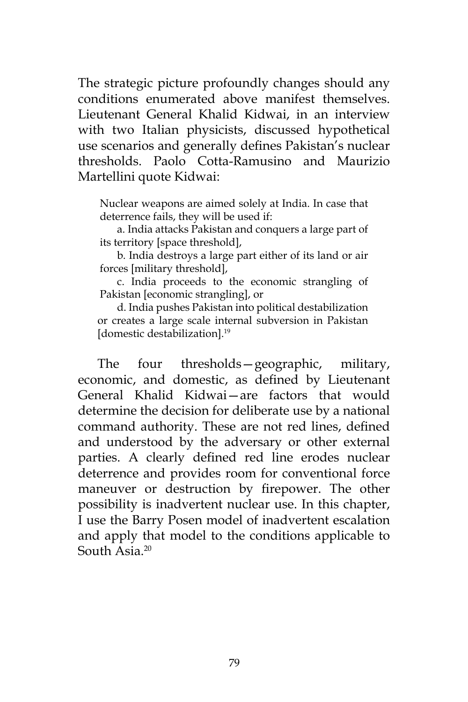The strategic picture profoundly changes should any conditions enumerated above manifest themselves. Lieutenant General Khalid Kidwai, in an interview with two Italian physicists, discussed hypothetical use scenarios and generally defines Pakistan's nuclear thresholds. Paolo Cotta-Ramusino and Maurizio Martellini quote Kidwai:

Nuclear weapons are aimed solely at India. In case that deterrence fails, they will be used if:

a. India attacks Pakistan and conquers a large part of its territory [space threshold],

b. India destroys a large part either of its land or air forces [military threshold],

c. India proceeds to the economic strangling of Pakistan [economic strangling], or

d. India pushes Pakistan into political destabilization or creates a large scale internal subversion in Pakistan [domestic destabilization].<sup>19</sup>

The four thresholds—geographic, military, economic, and domestic, as defined by Lieutenant General Khalid Kidwai—are factors that would determine the decision for deliberate use by a national command authority. These are not red lines, defined and understood by the adversary or other external parties. A clearly defined red line erodes nuclear deterrence and provides room for conventional force maneuver or destruction by firepower. The other possibility is inadvertent nuclear use. In this chapter, I use the Barry Posen model of inadvertent escalation and apply that model to the conditions applicable to South Asia.<sup>20</sup>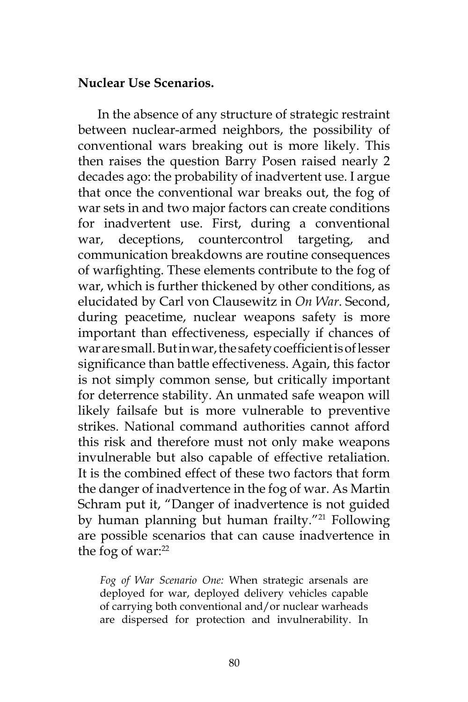#### **Nuclear Use Scenarios.**

In the absence of any structure of strategic restraint between nuclear-armed neighbors, the possibility of conventional wars breaking out is more likely. This then raises the question Barry Posen raised nearly 2 decades ago: the probability of inadvertent use. I argue that once the conventional war breaks out, the fog of war sets in and two major factors can create conditions for inadvertent use. First, during a conventional war, deceptions, countercontrol targeting, and communication breakdowns are routine consequences of warfighting. These elements contribute to the fog of war, which is further thickened by other conditions, as elucidated by Carl von Clausewitz in *On War*. Second, during peacetime, nuclear weapons safety is more important than effectiveness, especially if chances of war are small. But in war, the safety coefficient is of lesser significance than battle effectiveness. Again, this factor is not simply common sense, but critically important for deterrence stability. An unmated safe weapon will likely failsafe but is more vulnerable to preventive strikes. National command authorities cannot afford this risk and therefore must not only make weapons invulnerable but also capable of effective retaliation. It is the combined effect of these two factors that form the danger of inadvertence in the fog of war. As Martin Schram put it, "Danger of inadvertence is not guided by human planning but human frailty."<sup>21</sup> Following are possible scenarios that can cause inadvertence in the fog of war:<sup>22</sup>

*Fog of War Scenario One:* When strategic arsenals are deployed for war, deployed delivery vehicles capable of carrying both conventional and/or nuclear warheads are dispersed for protection and invulnerability. In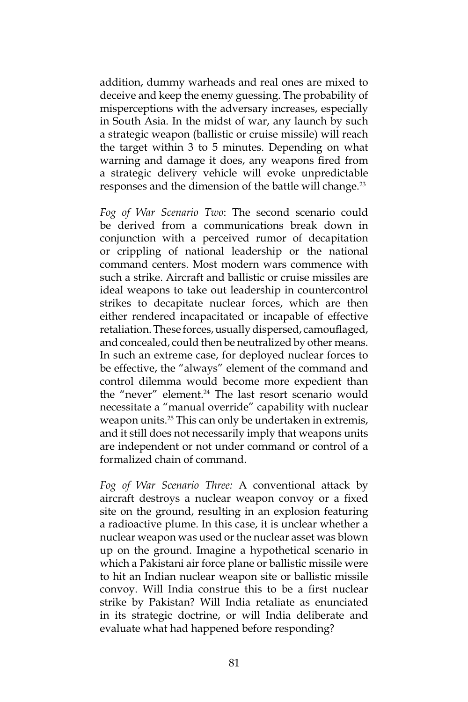addition, dummy warheads and real ones are mixed to deceive and keep the enemy guessing. The probability of misperceptions with the adversary increases, especially in South Asia. In the midst of war, any launch by such a strategic weapon (ballistic or cruise missile) will reach the target within 3 to 5 minutes. Depending on what warning and damage it does, any weapons fired from a strategic delivery vehicle will evoke unpredictable responses and the dimension of the battle will change.<sup>23</sup>

*Fog of War Scenario Two*: The second scenario could be derived from a communications break down in conjunction with a perceived rumor of decapitation or crippling of national leadership or the national command centers. Most modern wars commence with such a strike. Aircraft and ballistic or cruise missiles are ideal weapons to take out leadership in countercontrol strikes to decapitate nuclear forces, which are then either rendered incapacitated or incapable of effective retaliation. These forces, usually dispersed, camouflaged, and concealed, could then be neutralized by other means. In such an extreme case, for deployed nuclear forces to be effective, the "always" element of the command and control dilemma would become more expedient than the "never" element.<sup>24</sup> The last resort scenario would necessitate a "manual override" capability with nuclear weapon units.<sup>25</sup> This can only be undertaken in extremis, and it still does not necessarily imply that weapons units are independent or not under command or control of a formalized chain of command.

*Fog of War Scenario Three:* A conventional attack by aircraft destroys a nuclear weapon convoy or a fixed site on the ground, resulting in an explosion featuring a radioactive plume. In this case, it is unclear whether a nuclear weapon was used or the nuclear asset was blown up on the ground. Imagine a hypothetical scenario in which a Pakistani air force plane or ballistic missile were to hit an Indian nuclear weapon site or ballistic missile convoy. Will India construe this to be a first nuclear strike by Pakistan? Will India retaliate as enunciated in its strategic doctrine, or will India deliberate and evaluate what had happened before responding?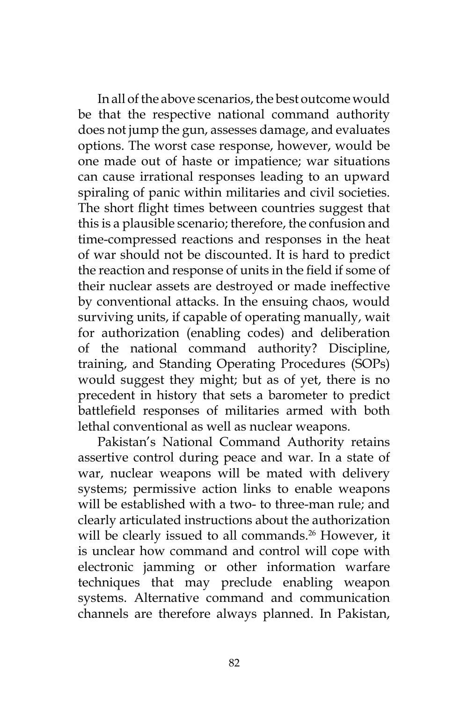In all of the above scenarios, the best outcome would be that the respective national command authority does not jump the gun, assesses damage, and evaluates options. The worst case response, however, would be one made out of haste or impatience; war situations can cause irrational responses leading to an upward spiraling of panic within militaries and civil societies. The short flight times between countries suggest that this is a plausible scenario; therefore, the confusion and time-compressed reactions and responses in the heat of war should not be discounted. It is hard to predict the reaction and response of units in the field if some of their nuclear assets are destroyed or made ineffective by conventional attacks. In the ensuing chaos, would surviving units, if capable of operating manually, wait for authorization (enabling codes) and deliberation of the national command authority? Discipline, training, and Standing Operating Procedures (SOPs) would suggest they might; but as of yet, there is no precedent in history that sets a barometer to predict battlefield responses of militaries armed with both lethal conventional as well as nuclear weapons.

Pakistan's National Command Authority retains assertive control during peace and war. In a state of war, nuclear weapons will be mated with delivery systems; permissive action links to enable weapons will be established with a two- to three-man rule; and clearly articulated instructions about the authorization will be clearly issued to all commands.<sup>26</sup> However, it is unclear how command and control will cope with electronic jamming or other information warfare techniques that may preclude enabling weapon systems. Alternative command and communication channels are therefore always planned. In Pakistan,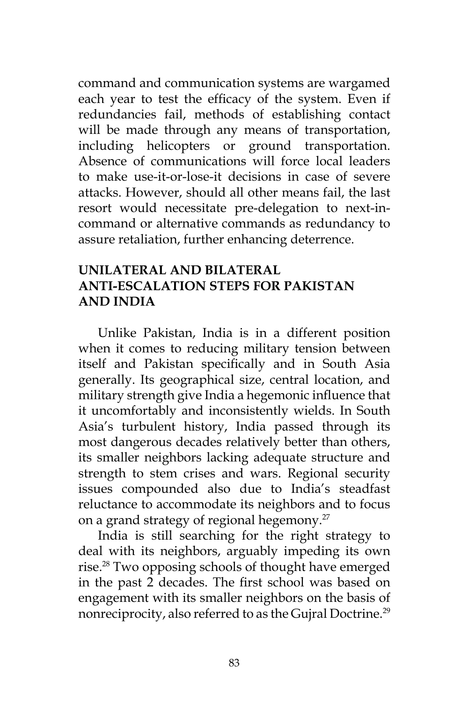command and communication systems are wargamed each year to test the efficacy of the system. Even if redundancies fail, methods of establishing contact will be made through any means of transportation, including helicopters or ground transportation. Absence of communications will force local leaders to make use-it-or-lose-it decisions in case of severe attacks. However, should all other means fail, the last resort would necessitate pre-delegation to next-incommand or alternative commands as redundancy to assure retaliation, further enhancing deterrence.

# **UNILATERAL AND BILATERAL ANTI-ESCALATION STEPS FOR PAKISTAN AND INDIA**

Unlike Pakistan, India is in a different position when it comes to reducing military tension between itself and Pakistan specifically and in South Asia generally. Its geographical size, central location, and military strength give India a hegemonic influence that it uncomfortably and inconsistently wields. In South Asia's turbulent history, India passed through its most dangerous decades relatively better than others, its smaller neighbors lacking adequate structure and strength to stem crises and wars. Regional security issues compounded also due to India's steadfast reluctance to accommodate its neighbors and to focus on a grand strategy of regional hegemony.<sup>27</sup>

India is still searching for the right strategy to deal with its neighbors, arguably impeding its own rise.28 Two opposing schools of thought have emerged in the past 2 decades. The first school was based on engagement with its smaller neighbors on the basis of nonreciprocity, also referred to as the Gujral Doctrine.<sup>29</sup>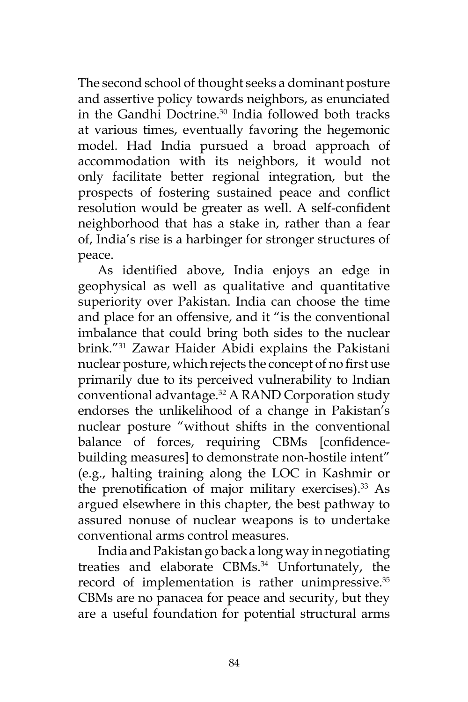The second school of thought seeks a dominant posture and assertive policy towards neighbors, as enunciated in the Gandhi Doctrine.<sup>30</sup> India followed both tracks at various times, eventually favoring the hegemonic model. Had India pursued a broad approach of accommodation with its neighbors, it would not only facilitate better regional integration, but the prospects of fostering sustained peace and conflict resolution would be greater as well. A self-confident neighborhood that has a stake in, rather than a fear of, India's rise is a harbinger for stronger structures of peace.

As identified above, India enjoys an edge in geophysical as well as qualitative and quantitative superiority over Pakistan. India can choose the time and place for an offensive, and it "is the conventional imbalance that could bring both sides to the nuclear brink."31 Zawar Haider Abidi explains the Pakistani nuclear posture, which rejects the concept of no first use primarily due to its perceived vulnerability to Indian conventional advantage.32 A RAND Corporation study endorses the unlikelihood of a change in Pakistan's nuclear posture "without shifts in the conventional balance of forces, requiring CBMs [confidencebuilding measures] to demonstrate non-hostile intent" (e.g., halting training along the LOC in Kashmir or the prenotification of major military exercises).<sup>33</sup> As argued elsewhere in this chapter, the best pathway to assured nonuse of nuclear weapons is to undertake conventional arms control measures.

India and Pakistan go back a long way in negotiating treaties and elaborate CBMs.<sup>34</sup> Unfortunately, the record of implementation is rather unimpressive.<sup>35</sup> CBMs are no panacea for peace and security, but they are a useful foundation for potential structural arms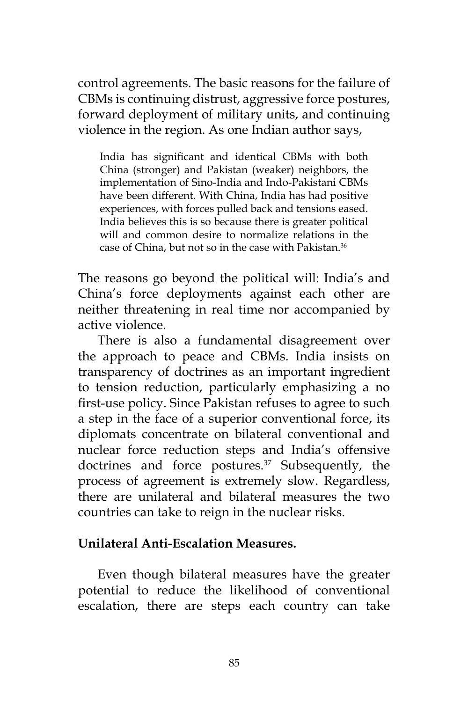control agreements. The basic reasons for the failure of CBMs is continuing distrust, aggressive force postures, forward deployment of military units, and continuing violence in the region. As one Indian author says,

India has significant and identical CBMs with both China (stronger) and Pakistan (weaker) neighbors, the implementation of Sino-India and Indo-Pakistani CBMs have been different. With China, India has had positive experiences, with forces pulled back and tensions eased. India believes this is so because there is greater political will and common desire to normalize relations in the case of China, but not so in the case with Pakistan.36

The reasons go beyond the political will: India's and China's force deployments against each other are neither threatening in real time nor accompanied by active violence.

There is also a fundamental disagreement over the approach to peace and CBMs. India insists on transparency of doctrines as an important ingredient to tension reduction, particularly emphasizing a no first-use policy. Since Pakistan refuses to agree to such a step in the face of a superior conventional force, its diplomats concentrate on bilateral conventional and nuclear force reduction steps and India's offensive doctrines and force postures.<sup>37</sup> Subsequently, the process of agreement is extremely slow. Regardless, there are unilateral and bilateral measures the two countries can take to reign in the nuclear risks.

### **Unilateral Anti-Escalation Measures.**

Even though bilateral measures have the greater potential to reduce the likelihood of conventional escalation, there are steps each country can take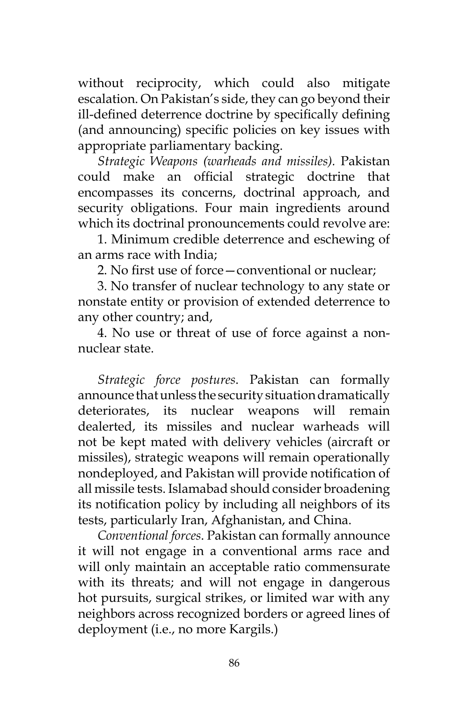without reciprocity, which could also mitigate escalation. On Pakistan's side, they can go beyond their ill-defined deterrence doctrine by specifically defining (and announcing) specific policies on key issues with appropriate parliamentary backing.

*Strategic Weapons (warheads and missiles).* Pakistan could make an official strategic doctrine that encompasses its concerns, doctrinal approach, and security obligations. Four main ingredients around which its doctrinal pronouncements could revolve are:

1. Minimum credible deterrence and eschewing of an arms race with India;

2. No first use of force—conventional or nuclear;

3. No transfer of nuclear technology to any state or nonstate entity or provision of extended deterrence to any other country; and,

4. No use or threat of use of force against a nonnuclear state.

*Strategic force postures*. Pakistan can formally announce that unless the security situation dramatically deteriorates, its nuclear weapons will remain dealerted, its missiles and nuclear warheads will not be kept mated with delivery vehicles (aircraft or missiles), strategic weapons will remain operationally nondeployed, and Pakistan will provide notification of all missile tests. Islamabad should consider broadening its notification policy by including all neighbors of its tests, particularly Iran, Afghanistan, and China.

*Conventional forces*. Pakistan can formally announce it will not engage in a conventional arms race and will only maintain an acceptable ratio commensurate with its threats; and will not engage in dangerous hot pursuits, surgical strikes, or limited war with any neighbors across recognized borders or agreed lines of deployment (i.e., no more Kargils.)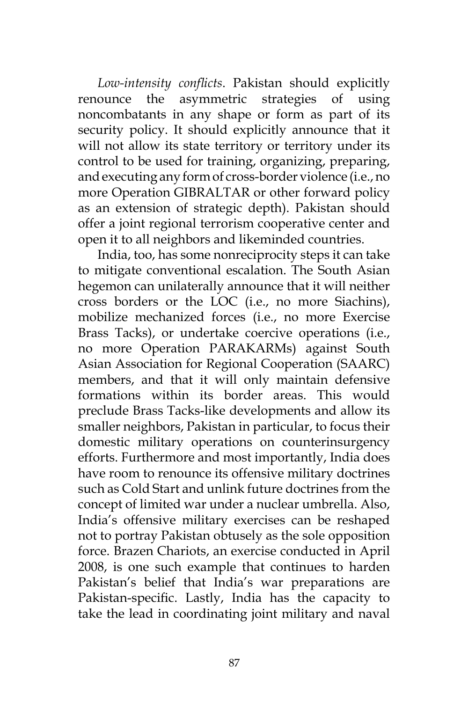*Low-intensity conflicts*. Pakistan should explicitly renounce the asymmetric strategies of using noncombatants in any shape or form as part of its security policy. It should explicitly announce that it will not allow its state territory or territory under its control to be used for training, organizing, preparing, and executing any form of cross-border violence (i.e., no more Operation GIBRALTAR or other forward policy as an extension of strategic depth). Pakistan should offer a joint regional terrorism cooperative center and open it to all neighbors and likeminded countries.

India, too, has some nonreciprocity steps it can take to mitigate conventional escalation. The South Asian hegemon can unilaterally announce that it will neither cross borders or the LOC (i.e., no more Siachins), mobilize mechanized forces (i.e., no more Exercise Brass Tacks), or undertake coercive operations (i.e., no more Operation PARAKARMs) against South Asian Association for Regional Cooperation (SAARC) members, and that it will only maintain defensive formations within its border areas. This would preclude Brass Tacks-like developments and allow its smaller neighbors, Pakistan in particular, to focus their domestic military operations on counterinsurgency efforts. Furthermore and most importantly, India does have room to renounce its offensive military doctrines such as Cold Start and unlink future doctrines from the concept of limited war under a nuclear umbrella. Also, India's offensive military exercises can be reshaped not to portray Pakistan obtusely as the sole opposition force. Brazen Chariots, an exercise conducted in April 2008, is one such example that continues to harden Pakistan's belief that India's war preparations are Pakistan-specific. Lastly, India has the capacity to take the lead in coordinating joint military and naval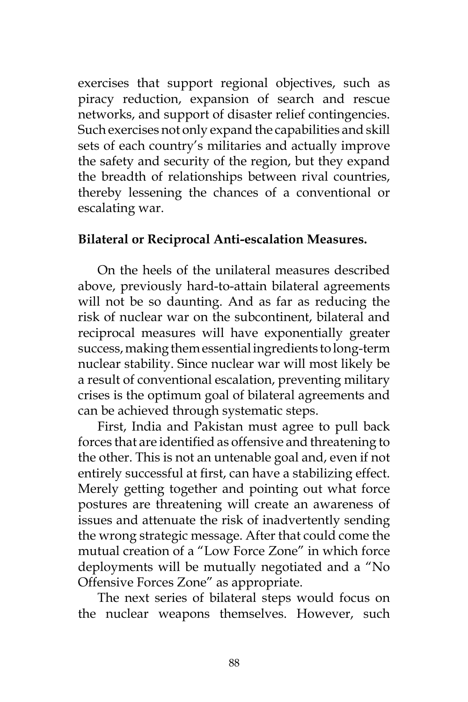exercises that support regional objectives, such as piracy reduction, expansion of search and rescue networks, and support of disaster relief contingencies. Such exercises not only expand the capabilities and skill sets of each country's militaries and actually improve the safety and security of the region, but they expand the breadth of relationships between rival countries, thereby lessening the chances of a conventional or escalating war.

#### **Bilateral or Reciprocal Anti-escalation Measures.**

On the heels of the unilateral measures described above, previously hard-to-attain bilateral agreements will not be so daunting. And as far as reducing the risk of nuclear war on the subcontinent, bilateral and reciprocal measures will have exponentially greater success, making them essential ingredients to long-term nuclear stability. Since nuclear war will most likely be a result of conventional escalation, preventing military crises is the optimum goal of bilateral agreements and can be achieved through systematic steps.

First, India and Pakistan must agree to pull back forces that are identified as offensive and threatening to the other. This is not an untenable goal and, even if not entirely successful at first, can have a stabilizing effect. Merely getting together and pointing out what force postures are threatening will create an awareness of issues and attenuate the risk of inadvertently sending the wrong strategic message. After that could come the mutual creation of a "Low Force Zone" in which force deployments will be mutually negotiated and a "No Offensive Forces Zone" as appropriate.

The next series of bilateral steps would focus on the nuclear weapons themselves. However, such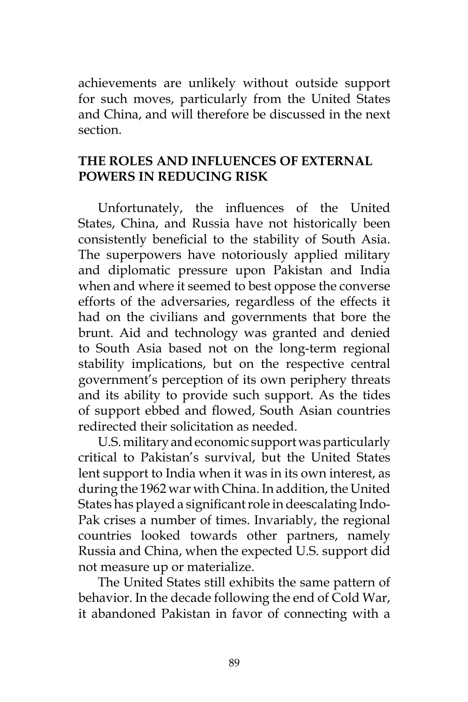achievements are unlikely without outside support for such moves, particularly from the United States and China, and will therefore be discussed in the next section.

# **THE ROLES AND INFLUENCES OF EXTERNAL POWERS IN REDUCING RISK**

Unfortunately, the influences of the United States, China, and Russia have not historically been consistently beneficial to the stability of South Asia. The superpowers have notoriously applied military and diplomatic pressure upon Pakistan and India when and where it seemed to best oppose the converse efforts of the adversaries, regardless of the effects it had on the civilians and governments that bore the brunt. Aid and technology was granted and denied to South Asia based not on the long-term regional stability implications, but on the respective central government's perception of its own periphery threats and its ability to provide such support. As the tides of support ebbed and flowed, South Asian countries redirected their solicitation as needed.

U.S. military and economic support was particularly critical to Pakistan's survival, but the United States lent support to India when it was in its own interest, as during the 1962 war with China. In addition, the United States has played a significant role in deescalating Indo-Pak crises a number of times. Invariably, the regional countries looked towards other partners, namely Russia and China, when the expected U.S. support did not measure up or materialize.

The United States still exhibits the same pattern of behavior. In the decade following the end of Cold War, it abandoned Pakistan in favor of connecting with a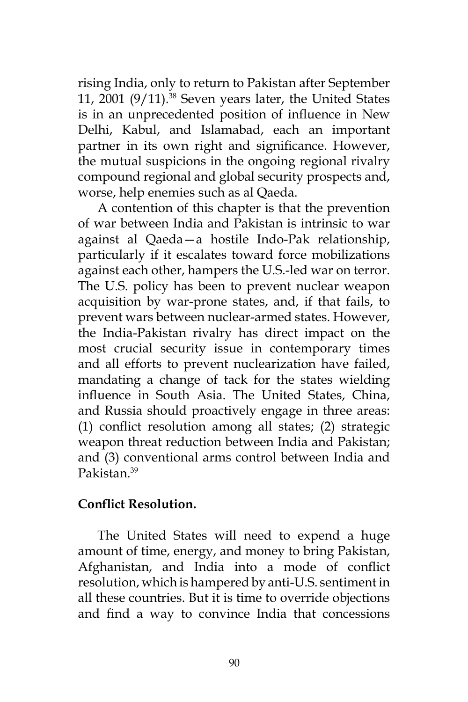rising India, only to return to Pakistan after September 11, 2001  $(9/11).$ <sup>38</sup> Seven years later, the United States is in an unprecedented position of influence in New Delhi, Kabul, and Islamabad, each an important partner in its own right and significance. However, the mutual suspicions in the ongoing regional rivalry compound regional and global security prospects and, worse, help enemies such as al Qaeda.

A contention of this chapter is that the prevention of war between India and Pakistan is intrinsic to war against al Qaeda—a hostile Indo-Pak relationship, particularly if it escalates toward force mobilizations against each other, hampers the U.S.-led war on terror. The U.S. policy has been to prevent nuclear weapon acquisition by war-prone states, and, if that fails, to prevent wars between nuclear-armed states. However, the India-Pakistan rivalry has direct impact on the most crucial security issue in contemporary times and all efforts to prevent nuclearization have failed, mandating a change of tack for the states wielding influence in South Asia. The United States, China, and Russia should proactively engage in three areas: (1) conflict resolution among all states; (2) strategic weapon threat reduction between India and Pakistan; and (3) conventional arms control between India and Pakistan<sup>39</sup>

#### **Conflict Resolution.**

The United States will need to expend a huge amount of time, energy, and money to bring Pakistan, Afghanistan, and India into a mode of conflict resolution, which is hampered by anti-U.S. sentiment in all these countries. But it is time to override objections and find a way to convince India that concessions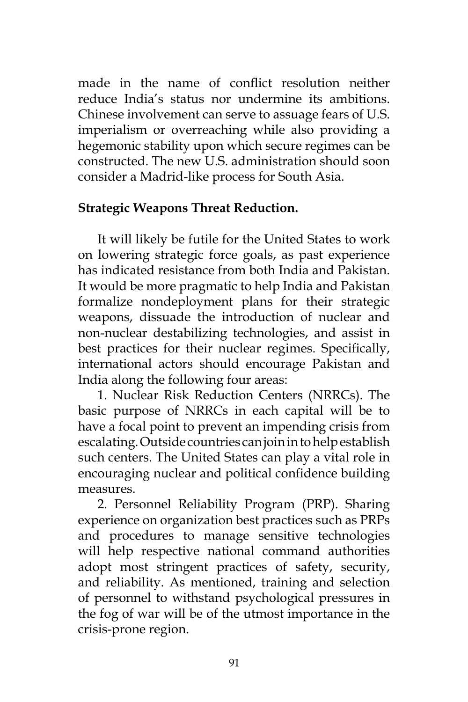made in the name of conflict resolution neither reduce India's status nor undermine its ambitions. Chinese involvement can serve to assuage fears of U.S. imperialism or overreaching while also providing a hegemonic stability upon which secure regimes can be constructed. The new U.S. administration should soon consider a Madrid-like process for South Asia.

### **Strategic Weapons Threat Reduction.**

It will likely be futile for the United States to work on lowering strategic force goals, as past experience has indicated resistance from both India and Pakistan. It would be more pragmatic to help India and Pakistan formalize nondeployment plans for their strategic weapons, dissuade the introduction of nuclear and non-nuclear destabilizing technologies, and assist in best practices for their nuclear regimes. Specifically, international actors should encourage Pakistan and India along the following four areas:

1. Nuclear Risk Reduction Centers (NRRCs). The basic purpose of NRRCs in each capital will be to have a focal point to prevent an impending crisis from escalating. Outside countries can join in to help establish such centers. The United States can play a vital role in encouraging nuclear and political confidence building measures.

2. Personnel Reliability Program (PRP). Sharing experience on organization best practices such as PRPs and procedures to manage sensitive technologies will help respective national command authorities adopt most stringent practices of safety, security, and reliability. As mentioned, training and selection of personnel to withstand psychological pressures in the fog of war will be of the utmost importance in the crisis-prone region.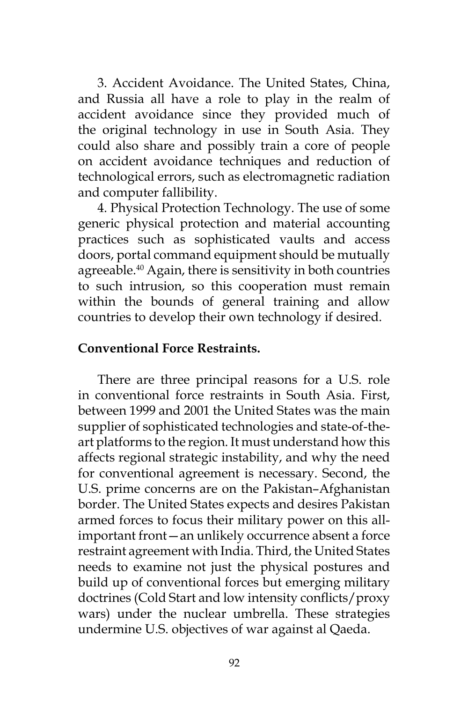3. Accident Avoidance. The United States, China, and Russia all have a role to play in the realm of accident avoidance since they provided much of the original technology in use in South Asia. They could also share and possibly train a core of people on accident avoidance techniques and reduction of technological errors, such as electromagnetic radiation and computer fallibility.

4. Physical Protection Technology. The use of some generic physical protection and material accounting practices such as sophisticated vaults and access doors, portal command equipment should be mutually agreeable.40 Again, there is sensitivity in both countries to such intrusion, so this cooperation must remain within the bounds of general training and allow countries to develop their own technology if desired.

### **Conventional Force Restraints.**

There are three principal reasons for a U.S. role in conventional force restraints in South Asia. First, between 1999 and 2001 the United States was the main supplier of sophisticated technologies and state-of-theart platforms to the region. It must understand how this affects regional strategic instability, and why the need for conventional agreement is necessary. Second, the U.S. prime concerns are on the Pakistan–Afghanistan border. The United States expects and desires Pakistan armed forces to focus their military power on this allimportant front—an unlikely occurrence absent a force restraint agreement with India. Third, the United States needs to examine not just the physical postures and build up of conventional forces but emerging military doctrines (Cold Start and low intensity conflicts/proxy wars) under the nuclear umbrella. These strategies undermine U.S. objectives of war against al Qaeda.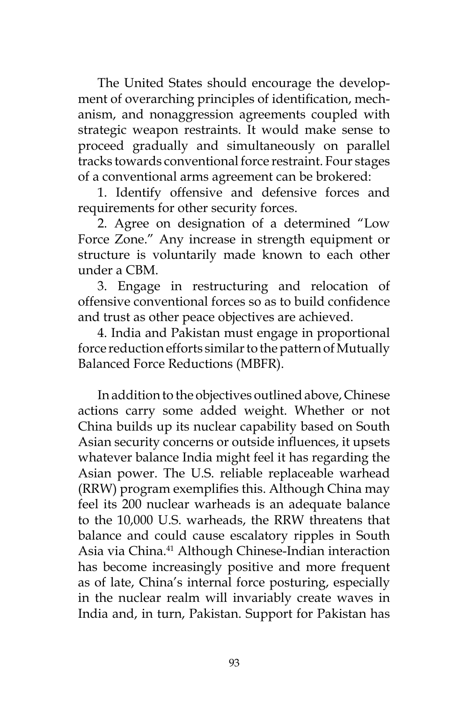The United States should encourage the development of overarching principles of identification, mechanism, and nonaggression agreements coupled with strategic weapon restraints. It would make sense to proceed gradually and simultaneously on parallel tracks towards conventional force restraint. Four stages of a conventional arms agreement can be brokered:

1. Identify offensive and defensive forces and requirements for other security forces.

2. Agree on designation of a determined "Low Force Zone." Any increase in strength equipment or structure is voluntarily made known to each other under a CBM.

3. Engage in restructuring and relocation of offensive conventional forces so as to build confidence and trust as other peace objectives are achieved.

4. India and Pakistan must engage in proportional force reduction efforts similar to the pattern of Mutually Balanced Force Reductions (MBFR).

In addition to the objectives outlined above, Chinese actions carry some added weight. Whether or not China builds up its nuclear capability based on South Asian security concerns or outside influences, it upsets whatever balance India might feel it has regarding the Asian power. The U.S. reliable replaceable warhead (RRW) program exemplifies this. Although China may feel its 200 nuclear warheads is an adequate balance to the 10,000 U.S. warheads, the RRW threatens that balance and could cause escalatory ripples in South Asia via China.41 Although Chinese-Indian interaction has become increasingly positive and more frequent as of late, China's internal force posturing, especially in the nuclear realm will invariably create waves in India and, in turn, Pakistan. Support for Pakistan has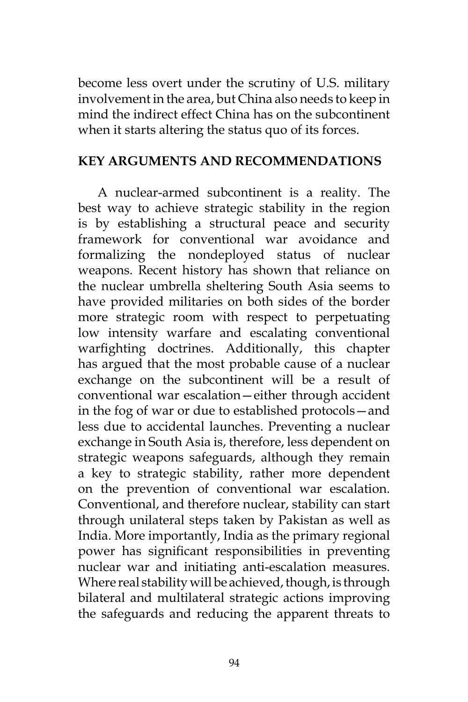become less overt under the scrutiny of U.S. military involvement in the area, but China also needs to keep in mind the indirect effect China has on the subcontinent when it starts altering the status quo of its forces.

#### **KEY ARGUMENTS AND RECOMMENDATIONS**

A nuclear-armed subcontinent is a reality. The best way to achieve strategic stability in the region is by establishing a structural peace and security framework for conventional war avoidance and formalizing the nondeployed status of nuclear weapons. Recent history has shown that reliance on the nuclear umbrella sheltering South Asia seems to have provided militaries on both sides of the border more strategic room with respect to perpetuating low intensity warfare and escalating conventional warfighting doctrines. Additionally, this chapter has argued that the most probable cause of a nuclear exchange on the subcontinent will be a result of conventional war escalation—either through accident in the fog of war or due to established protocols—and less due to accidental launches. Preventing a nuclear exchange in South Asia is, therefore, less dependent on strategic weapons safeguards, although they remain a key to strategic stability, rather more dependent on the prevention of conventional war escalation. Conventional, and therefore nuclear, stability can start through unilateral steps taken by Pakistan as well as India. More importantly, India as the primary regional power has significant responsibilities in preventing nuclear war and initiating anti-escalation measures. Where real stability will be achieved, though, is through bilateral and multilateral strategic actions improving the safeguards and reducing the apparent threats to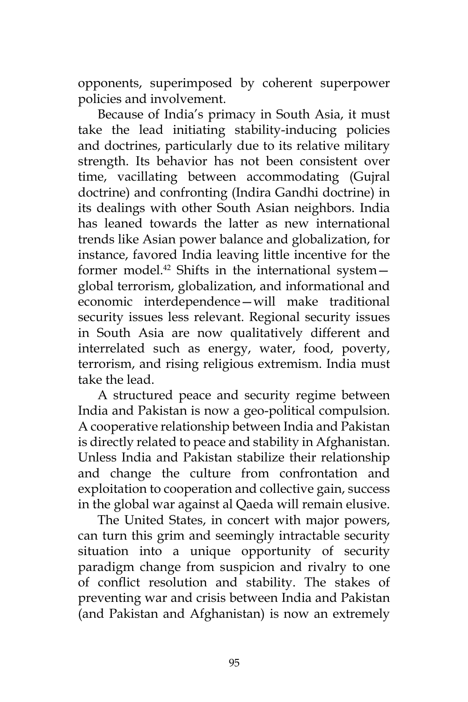opponents, superimposed by coherent superpower policies and involvement.

Because of India's primacy in South Asia, it must take the lead initiating stability-inducing policies and doctrines, particularly due to its relative military strength. Its behavior has not been consistent over time, vacillating between accommodating (Gujral doctrine) and confronting (Indira Gandhi doctrine) in its dealings with other South Asian neighbors. India has leaned towards the latter as new international trends like Asian power balance and globalization, for instance, favored India leaving little incentive for the former model.<sup>42</sup> Shifts in the international system $$ global terrorism, globalization, and informational and economic interdependence—will make traditional security issues less relevant. Regional security issues in South Asia are now qualitatively different and interrelated such as energy, water, food, poverty, terrorism, and rising religious extremism. India must take the lead.

A structured peace and security regime between India and Pakistan is now a geo-political compulsion. A cooperative relationship between India and Pakistan is directly related to peace and stability in Afghanistan. Unless India and Pakistan stabilize their relationship and change the culture from confrontation and exploitation to cooperation and collective gain, success in the global war against al Qaeda will remain elusive.

The United States, in concert with major powers, can turn this grim and seemingly intractable security situation into a unique opportunity of security paradigm change from suspicion and rivalry to one of conflict resolution and stability. The stakes of preventing war and crisis between India and Pakistan (and Pakistan and Afghanistan) is now an extremely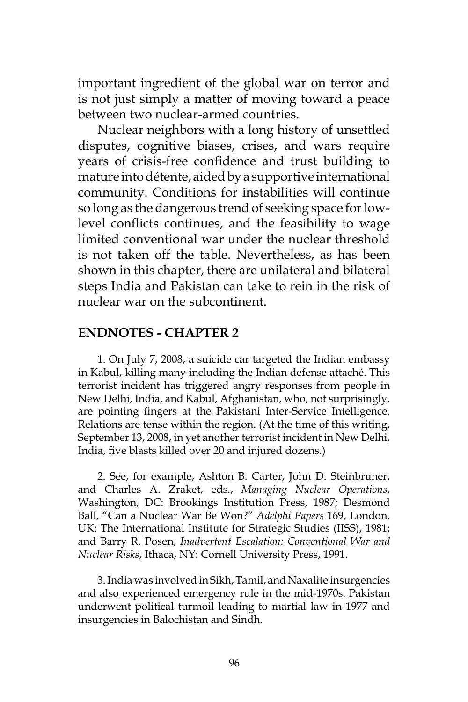important ingredient of the global war on terror and is not just simply a matter of moving toward a peace between two nuclear-armed countries.

Nuclear neighbors with a long history of unsettled disputes, cognitive biases, crises, and wars require years of crisis-free confidence and trust building to mature into détente, aided by a supportive international community. Conditions for instabilities will continue so long as the dangerous trend of seeking space for lowlevel conflicts continues, and the feasibility to wage limited conventional war under the nuclear threshold is not taken off the table. Nevertheless, as has been shown in this chapter, there are unilateral and bilateral steps India and Pakistan can take to rein in the risk of nuclear war on the subcontinent.

#### **ENDNOTES - CHAPTER 2**

1. On July 7, 2008, a suicide car targeted the Indian embassy in Kabul, killing many including the Indian defense attaché. This terrorist incident has triggered angry responses from people in New Delhi, India, and Kabul, Afghanistan, who, not surprisingly, are pointing fingers at the Pakistani Inter-Service Intelligence. Relations are tense within the region. (At the time of this writing, September 13, 2008, in yet another terrorist incident in New Delhi, India, five blasts killed over 20 and injured dozens.)

2. See, for example, Ashton B. Carter, John D. Steinbruner, and Charles A. Zraket, eds., *Managing Nuclear Operations*, Washington, DC: Brookings Institution Press, 1987; Desmond Ball, "Can a Nuclear War Be Won?" *Adelphi Papers* 169, London, UK: The International Institute for Strategic Studies (IISS), 1981; and Barry R. Posen, *Inadvertent Escalation: Conventional War and Nuclear Risks*, Ithaca, NY: Cornell University Press, 1991.

3. India was involved in Sikh, Tamil, and Naxalite insurgencies and also experienced emergency rule in the mid-1970s. Pakistan underwent political turmoil leading to martial law in 1977 and insurgencies in Balochistan and Sindh.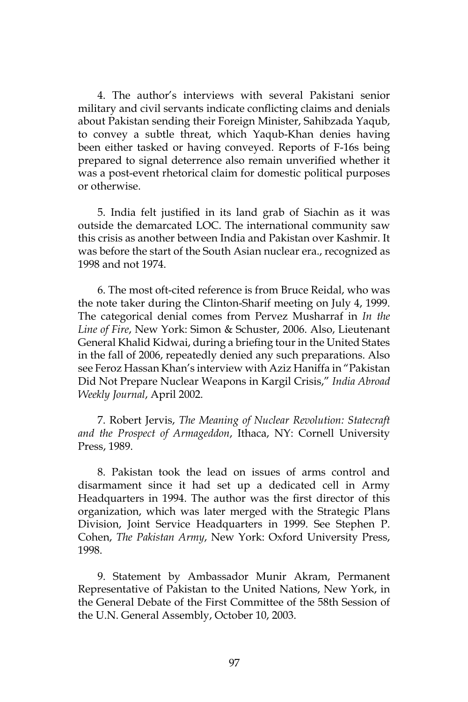4. The author's interviews with several Pakistani senior military and civil servants indicate conflicting claims and denials about Pakistan sending their Foreign Minister, Sahibzada Yaqub, to convey a subtle threat, which Yaqub-Khan denies having been either tasked or having conveyed. Reports of F-16s being prepared to signal deterrence also remain unverified whether it was a post-event rhetorical claim for domestic political purposes or otherwise.

5. India felt justified in its land grab of Siachin as it was outside the demarcated LOC. The international community saw this crisis as another between India and Pakistan over Kashmir. It was before the start of the South Asian nuclear era., recognized as 1998 and not 1974.

6. The most oft-cited reference is from Bruce Reidal, who was the note taker during the Clinton-Sharif meeting on July 4, 1999. The categorical denial comes from Pervez Musharraf in *In the Line of Fire*, New York: Simon & Schuster, 2006. Also, Lieutenant General Khalid Kidwai, during a briefing tour in the United States in the fall of 2006, repeatedly denied any such preparations. Also see Feroz Hassan Khan's interview with Aziz Haniffa in "Pakistan Did Not Prepare Nuclear Weapons in Kargil Crisis," *India Abroad Weekly Journal*, April 2002.

7. Robert Jervis, *The Meaning of Nuclear Revolution: Statecraft and the Prospect of Armageddon*, Ithaca, NY: Cornell University Press, 1989.

8. Pakistan took the lead on issues of arms control and disarmament since it had set up a dedicated cell in Army Headquarters in 1994. The author was the first director of this organization, which was later merged with the Strategic Plans Division, Joint Service Headquarters in 1999. See Stephen P. Cohen, *The Pakistan Army*, New York: Oxford University Press, 1998.

9. Statement by Ambassador Munir Akram, Permanent Representative of Pakistan to the United Nations, New York, in the General Debate of the First Committee of the 58th Session of the U.N. General Assembly, October 10, 2003.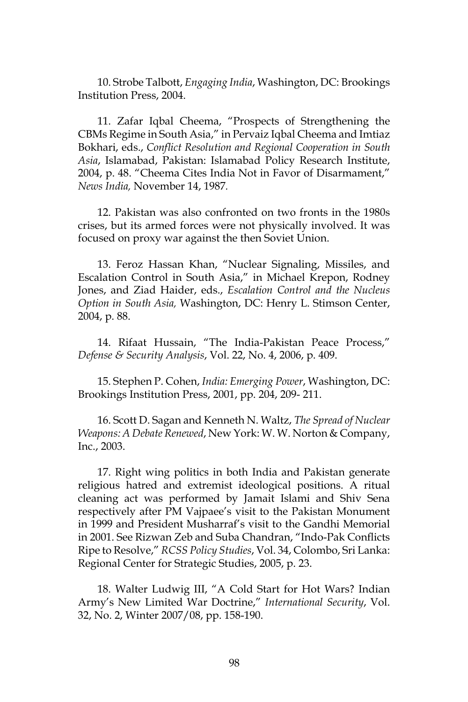10. Strobe Talbott, *Engaging India*, Washington, DC: Brookings Institution Press, 2004.

11. Zafar Iqbal Cheema, "Prospects of Strengthening the CBMs Regime in South Asia," in Pervaiz Iqbal Cheema and Imtiaz Bokhari, eds., *Conflict Resolution and Regional Cooperation in South Asia*, Islamabad, Pakistan: Islamabad Policy Research Institute, 2004, p. 48. "Cheema Cites India Not in Favor of Disarmament," *News India,* November 14, 1987*.* 

12. Pakistan was also confronted on two fronts in the 1980s crises, but its armed forces were not physically involved. It was focused on proxy war against the then Soviet Union.

13. Feroz Hassan Khan, "Nuclear Signaling, Missiles, and Escalation Control in South Asia," in Michael Krepon, Rodney Jones, and Ziad Haider, eds., *Escalation Control and the Nucleus Option in South Asia,* Washington, DC: Henry L. Stimson Center, 2004, p. 88.

14. Rifaat Hussain, "The India-Pakistan Peace Process," *Defense & Security Analysis*, Vol. 22, No. 4, 2006, p. 409.

15. Stephen P. Cohen, *India: Emerging Power*, Washington, DC: Brookings Institution Press, 2001, pp. 204, 209- 211.

16. Scott D. Sagan and Kenneth N. Waltz, *The Spread of Nuclear Weapons: A Debate Renewed*, New York: W. W. Norton & Company, Inc., 2003.

17. Right wing politics in both India and Pakistan generate religious hatred and extremist ideological positions. A ritual cleaning act was performed by Jamait Islami and Shiv Sena respectively after PM Vajpaee's visit to the Pakistan Monument in 1999 and President Musharraf's visit to the Gandhi Memorial in 2001. See Rizwan Zeb and Suba Chandran, "Indo-Pak Conflicts Ripe to Resolve," *RCSS Policy Studies*, Vol. 34, Colombo, Sri Lanka: Regional Center for Strategic Studies, 2005, p. 23.

18. Walter Ludwig III, "A Cold Start for Hot Wars? Indian Army's New Limited War Doctrine," *International Security*, Vol. 32, No. 2, Winter 2007/08, pp. 158-190.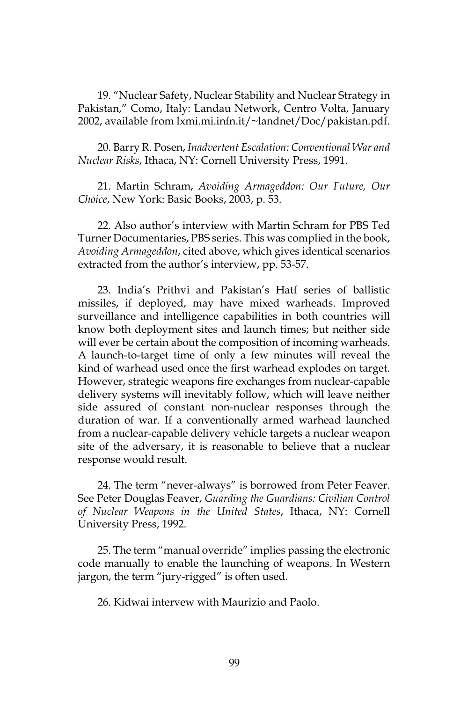19. "Nuclear Safety, Nuclear Stability and Nuclear Strategy in Pakistan," Como, Italy: Landau Network, Centro Volta, January 2002, available from lxmi.mi.infn.it/~landnet/Doc/pakistan.pdf.

20. Barry R. Posen, *Inadvertent Escalation: Conventional War and Nuclear Risks*, Ithaca, NY: Cornell University Press, 1991.

21. Martin Schram, *Avoiding Armageddon: Our Future, Our Choice*, New York: Basic Books, 2003, p. 53.

22. Also author's interview with Martin Schram for PBS Ted Turner Documentaries, PBS series. This was complied in the book, *Avoiding Armageddon*, cited above, which gives identical scenarios extracted from the author's interview, pp. 53-57.

23. India's Prithvi and Pakistan's Hatf series of ballistic missiles, if deployed, may have mixed warheads. Improved surveillance and intelligence capabilities in both countries will know both deployment sites and launch times; but neither side will ever be certain about the composition of incoming warheads. A launch-to-target time of only a few minutes will reveal the kind of warhead used once the first warhead explodes on target. However, strategic weapons fire exchanges from nuclear-capable delivery systems will inevitably follow, which will leave neither side assured of constant non-nuclear responses through the duration of war. If a conventionally armed warhead launched from a nuclear-capable delivery vehicle targets a nuclear weapon site of the adversary, it is reasonable to believe that a nuclear response would result.

24. The term "never-always" is borrowed from Peter Feaver. See Peter Douglas Feaver, *Guarding the Guardians: Civilian Control of Nuclear Weapons in the United States*, Ithaca, NY: Cornell University Press, 1992.

25. The term "manual override" implies passing the electronic code manually to enable the launching of weapons. In Western jargon, the term "jury-rigged" is often used.

26. Kidwai intervew with Maurizio and Paolo.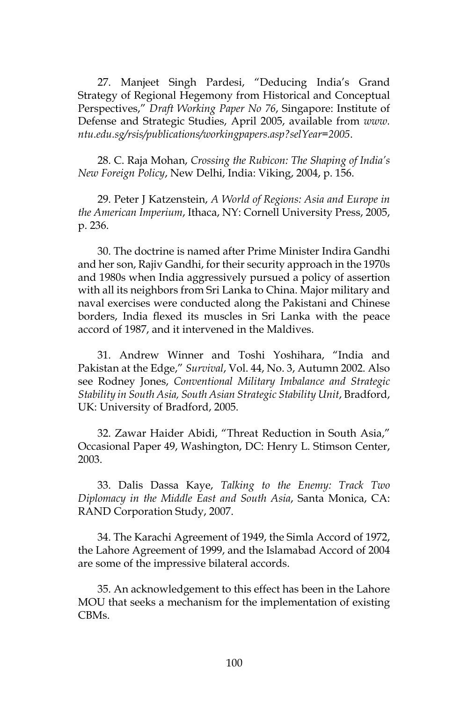27. Manjeet Singh Pardesi, "Deducing India's Grand Strategy of Regional Hegemony from Historical and Conceptual Perspectives," *Draft Working Paper No 76*, Singapore: Institute of Defense and Strategic Studies, April 2005, available from *www. ntu.edu.sg/rsis/publications/workingpapers.asp?selYear=2005*.

28. C. Raja Mohan, *Crossing the Rubicon: The Shaping of India's New Foreign Policy*, New Delhi, India: Viking, 2004, p. 156.

29. Peter J Katzenstein, *A World of Regions: Asia and Europe in the American Imperium*, Ithaca, NY: Cornell University Press, 2005, p. 236.

30. The doctrine is named after Prime Minister Indira Gandhi and her son, Rajiv Gandhi, for their security approach in the 1970s and 1980s when India aggressively pursued a policy of assertion with all its neighbors from Sri Lanka to China. Major military and naval exercises were conducted along the Pakistani and Chinese borders, India flexed its muscles in Sri Lanka with the peace accord of 1987, and it intervened in the Maldives.

31. Andrew Winner and Toshi Yoshihara, "India and Pakistan at the Edge," *Survival*, Vol. 44, No. 3, Autumn 2002. Also see Rodney Jones, *Conventional Military Imbalance and Strategic Stability in South Asia, South Asian Strategic Stability Unit*, Bradford, UK: University of Bradford, 2005.

32. Zawar Haider Abidi, "Threat Reduction in South Asia," Occasional Paper 49, Washington, DC: Henry L. Stimson Center, 2003.

33. Dalis Dassa Kaye, *Talking to the Enemy: Track Two Diplomacy in the Middle East and South Asia*, Santa Monica, CA: RAND Corporation Study, 2007.

34. The Karachi Agreement of 1949, the Simla Accord of 1972, the Lahore Agreement of 1999, and the Islamabad Accord of 2004 are some of the impressive bilateral accords.

35. An acknowledgement to this effect has been in the Lahore MOU that seeks a mechanism for the implementation of existing CBMs.